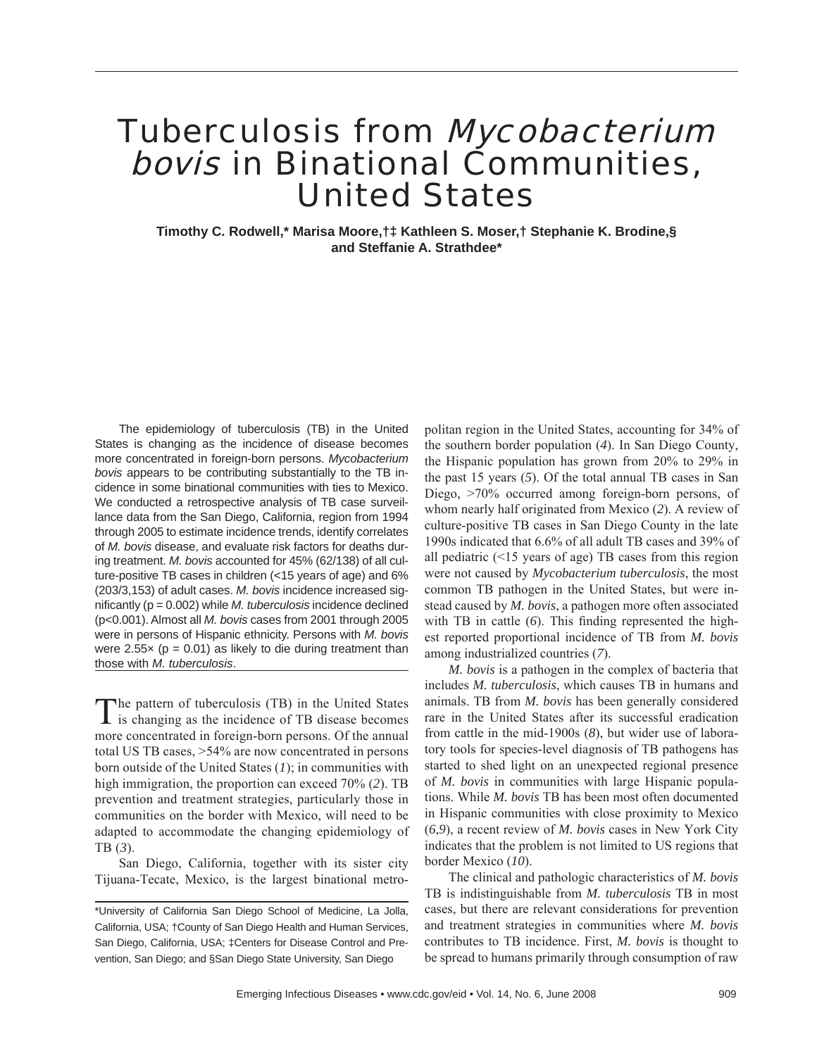# Tuberculosis from Mycobacterium bovis in Binational Communities, United States

**Timothy C. Rodwell,\* Marisa Moore,†‡ Kathleen S. Moser,† Stephanie K. Brodine,§ and Steffanie A. Strathdee\***

The epidemiology of tuberculosis (TB) in the United States is changing as the incidence of disease becomes more concentrated in foreign-born persons. *Mycobacterium bovis* appears to be contributing substantially to the TB incidence in some binational communities with ties to Mexico. We conducted a retrospective analysis of TB case surveillance data from the San Diego, California, region from 1994 through 2005 to estimate incidence trends, identify correlates of *M. bovis* disease, and evaluate risk factors for deaths during treatment. *M. bovis* accounted for 45% (62/138) of all culture-positive TB cases in children (<15 years of age) and 6% (203/3,153) of adult cases. *M. bovis* incidence increased significantly (p = 0.002) while *M. tuberculosis* incidence declined (p<0.001). Almost all *M. bovis* cases from 2001 through 2005 were in persons of Hispanic ethnicity. Persons with *M. bovis* were 2.55 $\times$  (p = 0.01) as likely to die during treatment than those with *M. tuberculosis*.

The pattern of tuberculosis (TB) in the United States is changing as the incidence of TB disease becomes more concentrated in foreign-born persons. Of the annual total US TB cases, >54% are now concentrated in persons born outside of the United States (*1*); in communities with high immigration, the proportion can exceed 70% (*2*). TB prevention and treatment strategies, particularly those in communities on the border with Mexico, will need to be adapted to accommodate the changing epidemiology of TB (*3*).

San Diego, California, together with its sister city Tijuana-Tecate, Mexico, is the largest binational metropolitan region in the United States, accounting for 34% of the southern border population (*4*). In San Diego County, the Hispanic population has grown from 20% to 29% in the past 15 years (*5*). Of the total annual TB cases in San Diego, >70% occurred among foreign-born persons, of whom nearly half originated from Mexico (*2*). A review of culture-positive TB cases in San Diego County in the late 1990s indicated that 6.6% of all adult TB cases and 39% of all pediatric (<15 years of age) TB cases from this region were not caused by *Mycobacterium tuberculosis*, the most common TB pathogen in the United States, but were instead caused by *M. bovis*, a pathogen more often associated with TB in cattle  $(6)$ . This finding represented the highest reported proportional incidence of TB from *M. bovis* among industrialized countries (*7*).

*M. bovis* is a pathogen in the complex of bacteria that includes *M. tuberculosis*, which causes TB in humans and animals. TB from *M. bovis* has been generally considered rare in the United States after its successful eradication from cattle in the mid-1900s (*8*), but wider use of laboratory tools for species-level diagnosis of TB pathogens has started to shed light on an unexpected regional presence of *M. bovis* in communities with large Hispanic populations. While *M. bovis* TB has been most often documented in Hispanic communities with close proximity to Mexico (*6*,*9*), a recent review of *M. bovis* cases in New York City indicates that the problem is not limited to US regions that border Mexico (*10*).

The clinical and pathologic characteristics of *M. bovis* TB is indistinguishable from *M. tuberculosis* TB in most cases, but there are relevant considerations for prevention and treatment strategies in communities where *M. bovis* contributes to TB incidence. First, *M. bovis* is thought to be spread to humans primarily through consumption of raw

<sup>\*</sup>University of California San Diego School of Medicine, La Jolla, California, USA; †County of San Diego Health and Human Services, San Diego, California, USA; ‡Centers for Disease Control and Prevention, San Diego; and §San Diego State University, San Diego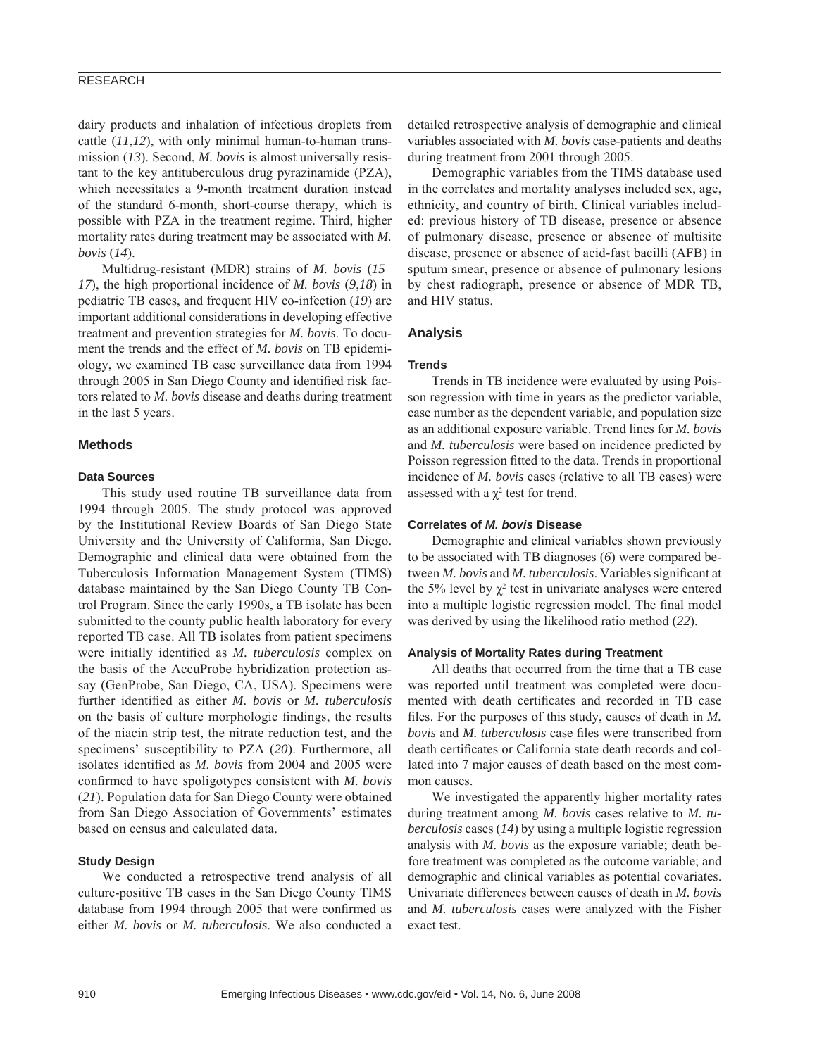dairy products and inhalation of infectious droplets from cattle (*11*,*12*), with only minimal human-to-human transmission (*13*). Second, *M. bovis* is almost universally resistant to the key antituberculous drug pyrazinamide (PZA), which necessitates a 9-month treatment duration instead of the standard 6-month, short-course therapy, which is possible with PZA in the treatment regime. Third, higher mortality rates during treatment may be associated with *M. bovis* (*14*).

Multidrug-resistant (MDR) strains of *M. bovis* (*15*– *17*), the high proportional incidence of *M. bovis* (*9*,*18*) in pediatric TB cases, and frequent HIV co-infection (*19*) are important additional considerations in developing effective treatment and prevention strategies for *M. bovis*. To document the trends and the effect of *M. bovis* on TB epidemiology, we examined TB case surveillance data from 1994 through 2005 in San Diego County and identified risk factors related to *M. bovis* disease and deaths during treatment in the last 5 years.

# **Methods**

# **Data Sources**

This study used routine TB surveillance data from 1994 through 2005. The study protocol was approved by the Institutional Review Boards of San Diego State University and the University of California, San Diego. Demographic and clinical data were obtained from the Tuberculosis Information Management System (TIMS) database maintained by the San Diego County TB Control Program. Since the early 1990s, a TB isolate has been submitted to the county public health laboratory for every reported TB case. All TB isolates from patient specimens were initially identified as *M. tuberculosis* complex on the basis of the AccuProbe hybridization protection assay (GenProbe, San Diego, CA, USA). Specimens were further identified as either *M. bovis* or *M. tuberculosis* on the basis of culture morphologic findings, the results of the niacin strip test, the nitrate reduction test, and the specimens' susceptibility to PZA (*20*). Furthermore, all isolates identified as *M. bovis* from 2004 and 2005 were confirmed to have spoligotypes consistent with *M. bovis* (*21*). Population data for San Diego County were obtained from San Diego Association of Governments' estimates based on census and calculated data.

## **Study Design**

We conducted a retrospective trend analysis of all culture-positive TB cases in the San Diego County TIMS database from 1994 through 2005 that were confirmed as either *M. bovis* or *M. tuberculosis*. We also conducted a detailed retrospective analysis of demographic and clinical variables associated with *M. bovis* case-patients and deaths during treatment from 2001 through 2005.

Demographic variables from the TIMS database used in the correlates and mortality analyses included sex, age, ethnicity, and country of birth. Clinical variables included: previous history of TB disease, presence or absence of pulmonary disease, presence or absence of multisite disease, presence or absence of acid-fast bacilli (AFB) in sputum smear, presence or absence of pulmonary lesions by chest radiograph, presence or absence of MDR TB, and HIV status.

## **Analysis**

#### **Trends**

Trends in TB incidence were evaluated by using Poisson regression with time in years as the predictor variable, case number as the dependent variable, and population size as an additional exposure variable. Trend lines for *M. bovis* and *M. tuberculosis* were based on incidence predicted by Poisson regression fitted to the data. Trends in proportional incidence of *M. bovis* cases (relative to all TB cases) were assessed with a  $\chi^2$  test for trend.

#### **Correlates of** *M. bovis* **Disease**

Demographic and clinical variables shown previously to be associated with TB diagnoses (*6*) were compared between *M. bovis* and *M. tuberculosis*. Variables significant at the 5% level by  $\chi^2$  test in univariate analyses were entered into a multiple logistic regression model. The final model was derived by using the likelihood ratio method (*22*).

#### **Analysis of Mortality Rates during Treatment**

All deaths that occurred from the time that a TB case was reported until treatment was completed were documented with death certificates and recorded in TB case files. For the purposes of this study, causes of death in *M*. *bovis* and *M. tuberculosis* case files were transcribed from death certificates or California state death records and collated into 7 major causes of death based on the most common causes.

We investigated the apparently higher mortality rates during treatment among *M. bovis* cases relative to *M. tuberculosis* cases (*14*) by using a multiple logistic regression analysis with *M. bovis* as the exposure variable; death before treatment was completed as the outcome variable; and demographic and clinical variables as potential covariates. Univariate differences between causes of death in *M. bovis* and *M. tuberculosis* cases were analyzed with the Fisher exact test.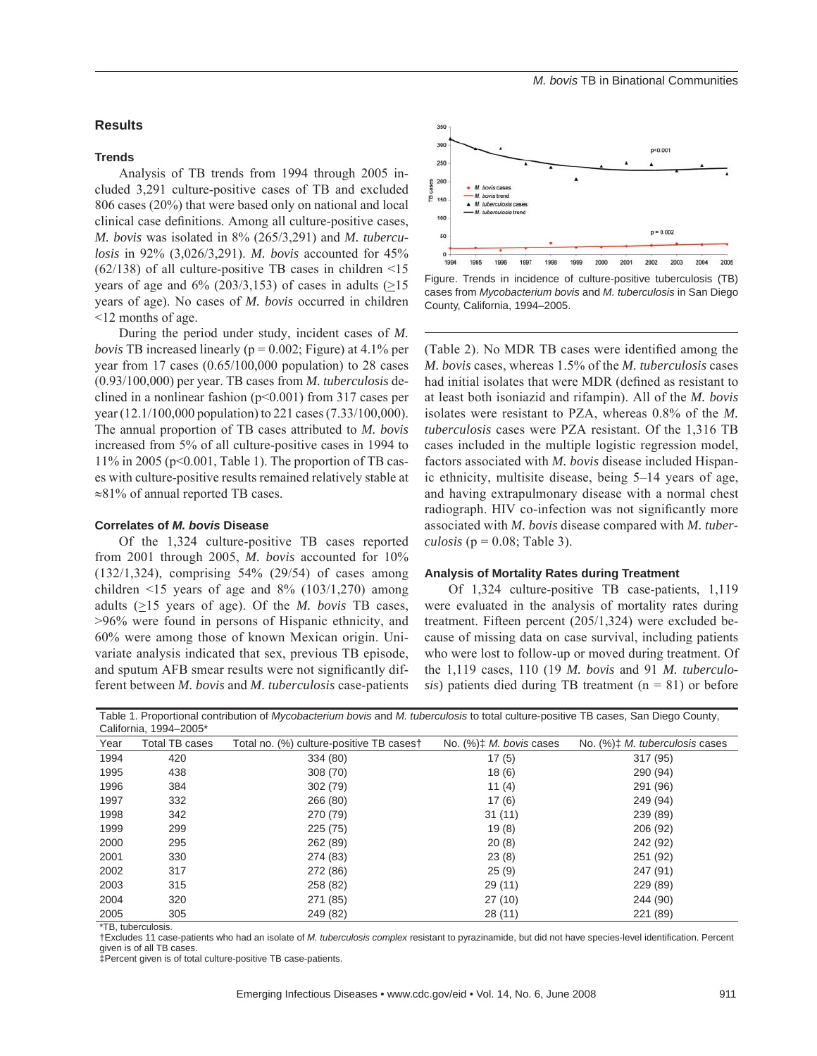#### **Results**

#### **Trends**

Analysis of TB trends from 1994 through 2005 included 3,291 culture-positive cases of TB and excluded 806 cases (20%) that were based only on national and local clinical case definitions. Among all culture-positive cases, *M. bovis* was isolated in 8% (265/3,291) and *M. tuberculosis* in 92% (3,026/3,291). *M. bovis* accounted for 45%  $(62/138)$  of all culture-positive TB cases in children <15 years of age and  $6\%$  (203/3,153) of cases in adults ( $\geq$ 15 years of age). No cases of *M. bovis* occurred in children <12 months of age.

During the period under study, incident cases of *M. bovis* TB increased linearly (p = 0.002; Figure) at 4.1% per year from 17 cases  $(0.65/100,000$  population) to 28 cases (0.93/100,000) per year. TB cases from *M. tuberculosis* declined in a nonlinear fashion ( $p<0.001$ ) from 317 cases per year (12.1/100,000 population) to 221 cases (7.33/100,000). The annual proportion of TB cases attributed to *M. bovis* increased from 5% of all culture-positive cases in 1994 to 11% in 2005 ( $p$ <0.001, Table 1). The proportion of TB cases with culture-positive results remained relatively stable at ≈81% of annual reported TB cases.

#### **Correlates of** *M. bovis* **Disease**

Of the 1,324 culture-positive TB cases reported from 2001 through 2005, *M. bovis* accounted for 10% (132/1,324), comprising 54% (29/54) of cases among children  $\leq 15$  years of age and 8% (103/1,270) among adults  $(>=15$  years of age). Of the *M. bovis* TB cases, >96% were found in persons of Hispanic ethnicity, and 60% were among those of known Mexican origin. Univariate analysis indicated that sex, previous TB episode, and sputum AFB smear results were not significantly different between *M. bovis* and *M. tuberculosis* case-patients



Figure. Trends in incidence of culture-positive tuberculosis (TB) cases from *Mycobacterium bovis* and *M. tuberculosis* in San Diego County, California, 1994–2005.

(Table 2). No MDR TB cases were identified among the *M. bovis* cases, whereas 1.5% of the *M. tuberculosis* cases had initial isolates that were MDR (defined as resistant to at least both isoniazid and rifampin). All of the *M. bovis* isolates were resistant to PZA, whereas 0.8% of the *M. tuberculosis* cases were PZA resistant. Of the 1,316 TB cases included in the multiple logistic regression model, factors associated with *M. bovis* disease included Hispanic ethnicity, multisite disease, being 5–14 years of age, and having extrapulmonary disease with a normal chest radiograph. HIV co-infection was not significantly more associated with *M. bovis* disease compared with *M. tuberculosis* ( $p = 0.08$ ; Table 3).

#### **Analysis of Mortality Rates during Treatment**

Of 1,324 culture-positive TB case-patients, 1,119 were evaluated in the analysis of mortality rates during treatment. Fifteen percent (205/1,324) were excluded because of missing data on case survival, including patients who were lost to follow-up or moved during treatment. Of the 1,119 cases, 110 (19 *M. bovis* and 91 *M. tuberculosis*) patients died during TB treatment (n = 81) or before

| Table 1. Proportional contribution of <i>Mycobacterium bovis</i> and <i>M. tuberculosis</i> to total culture-positive TB cases, San Diego County,<br>California, 1994-2005* |     |          |                                         |          |
|-----------------------------------------------------------------------------------------------------------------------------------------------------------------------------|-----|----------|-----------------------------------------|----------|
| Total no. (%) culture-positive TB cases†<br>No. $(\%)\ddagger$ <i>M. bovis</i> cases<br>Year<br>Total TB cases                                                              |     |          | No. $(\%)$ <i>M. tuberculosis cases</i> |          |
| 1994                                                                                                                                                                        | 420 | 334 (80) | 17(5)                                   | 317(95)  |
| 1995                                                                                                                                                                        | 438 | 308 (70) | 18(6)                                   | 290 (94) |
| 1996                                                                                                                                                                        | 384 | 302 (79) | 11 $(4)$                                | 291 (96) |
| 1997                                                                                                                                                                        | 332 | 266 (80) | 17(6)                                   | 249 (94) |
| 1998                                                                                                                                                                        | 342 | 270 (79) | 31(11)                                  | 239 (89) |
| 1999                                                                                                                                                                        | 299 | 225(75)  | 19(8)                                   | 206(92)  |
| 2000                                                                                                                                                                        | 295 | 262 (89) | 20(8)                                   | 242 (92) |
| 2001                                                                                                                                                                        | 330 | 274 (83) | 23(8)                                   | 251 (92) |
| 2002                                                                                                                                                                        | 317 | 272 (86) | 25(9)                                   | 247 (91) |
| 2003                                                                                                                                                                        | 315 | 258 (82) | 29(11)                                  | 229 (89) |
| 2004                                                                                                                                                                        | 320 | 271 (85) | 27(10)                                  | 244 (90) |
| 2005                                                                                                                                                                        | 305 | 249 (82) | 28 (11)                                 | 221 (89) |

Table 1. Proportional contribution of *Mycobacterium bovis* and *M. tuberculosis* to total culture-positive TB cases, San Diego County,

\*TB, tuberculosis.

†Excludes 11 case-patients who had an isolate of *M. tuberculosis complex* resistant to pyrazinamide, but did not have species-level identification. Percent given is of all TB cases.

‡Percent given is of total culture-positive TB case-patients.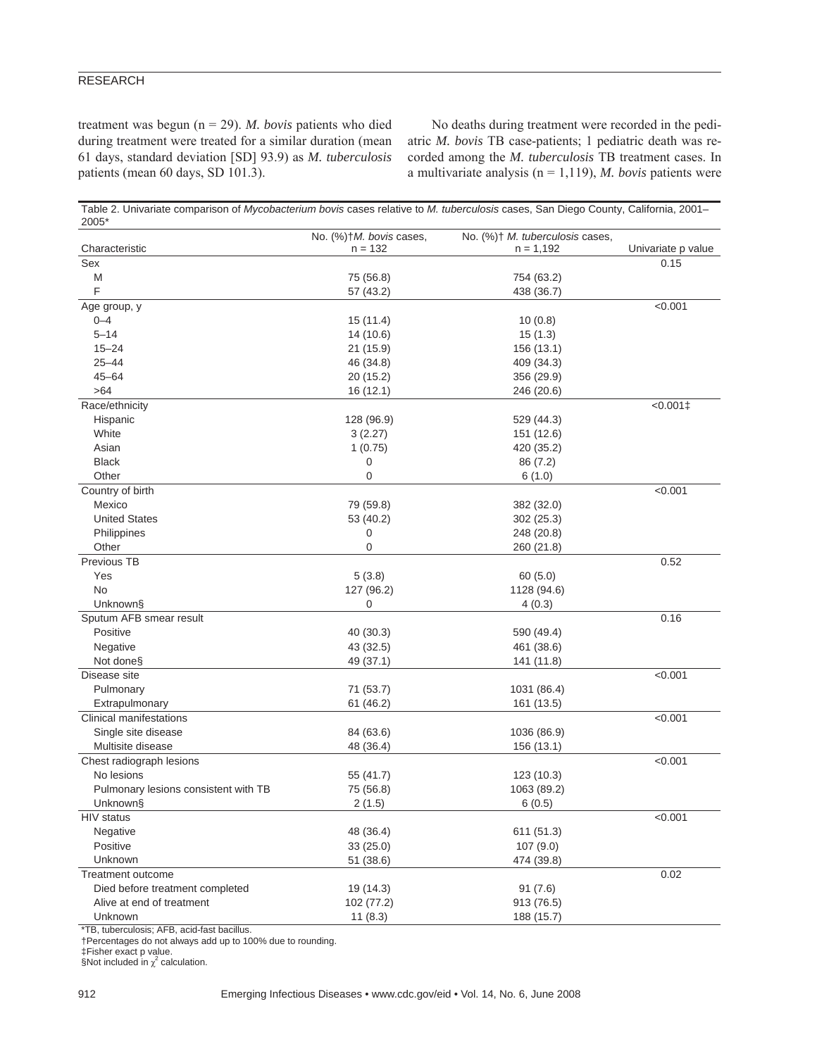treatment was begun (n = 29). *M. bovis* patients who died during treatment were treated for a similar duration (mean 61 days, standard deviation [SD] 93.9) as *M. tuberculosis* patients (mean 60 days, SD 101.3).

No deaths during treatment were recorded in the pediatric *M. bovis* TB case-patients; 1 pediatric death was recorded among the *M. tuberculosis* TB treatment cases. In a multivariate analysis (n = 1,119), *M. bovis* patients were

| No. (%)†M. bovis cases,<br>No. (%)† M. tuberculosis cases,<br>$n = 132$<br>Univariate p value<br>Characteristic<br>$n = 1,192$<br>Sex<br>0.15<br>M<br>75 (56.8)<br>754 (63.2)<br>F<br>438 (36.7)<br>57 (43.2)<br>< 0.001<br>Age group, y<br>$0 - 4$<br>15 (11.4)<br>10(0.8)<br>$5 - 14$<br>14 (10.6)<br>15(1.3)<br>$15 - 24$<br>21 (15.9)<br>156 (13.1)<br>$25 - 44$<br>46 (34.8)<br>409 (34.3)<br>$45 - 64$<br>20(15.2)<br>356 (29.9)<br>>64<br>16(12.1)<br>246 (20.6)<br>$< 0.001$ ‡<br>Race/ethnicity<br>Hispanic<br>128 (96.9)<br>529 (44.3)<br>White<br>3(2.27)<br>151 (12.6)<br>Asian<br>1(0.75)<br>420 (35.2)<br><b>Black</b><br>0<br>86 (7.2)<br>Other<br>0<br>6(1.0)<br>Country of birth<br>< 0.001<br>Mexico<br>79 (59.8)<br>382 (32.0)<br><b>United States</b><br>53 (40.2)<br>302 (25.3)<br>Philippines<br>248 (20.8)<br>0<br>0<br>Other<br>260 (21.8)<br>Previous TB<br>0.52<br>Yes<br>5(3.8)<br>60(5.0)<br><b>No</b><br>127 (96.2)<br>1128 (94.6)<br>Unknown§<br>0<br>4(0.3)<br>Sputum AFB smear result<br>0.16<br>Positive<br>40 (30.3)<br>590 (49.4)<br>Negative<br>43 (32.5)<br>461 (38.6)<br>Not done§<br>49 (37.1)<br>141 (11.8)<br>Disease site<br>< 0.001<br>Pulmonary<br>71 (53.7)<br>1031 (86.4)<br>61(46.2)<br>Extrapulmonary<br>161 (13.5)<br>Clinical manifestations<br>< 0.001<br>Single site disease<br>84 (63.6)<br>1036 (86.9)<br>Multisite disease<br>48 (36.4)<br>156 (13.1)<br>Chest radiograph lesions<br>< 0.001<br>No lesions<br>55 (41.7)<br>123 (10.3)<br>75 (56.8)<br>1063 (89.2)<br>Pulmonary lesions consistent with TB<br>Unknown§<br>2(1.5)<br>6(0.5)<br>HIV status<br>< 0.001<br>Negative<br>48 (36.4)<br>611 (51.3)<br>Positive<br>33(25.0)<br>107(9.0)<br>Unknown<br>51 (38.6)<br>474 (39.8)<br>Treatment outcome<br>0.02<br>Died before treatment completed<br>19 (14.3)<br>91(7.6)<br>Alive at end of treatment<br>102 (77.2)<br>913 (76.5)<br>Unknown<br>11(8.3)<br>188 (15.7) | Table 2. Univariate comparison of Mycobacterium bovis cases relative to M. tuberculosis cases, San Diego County, California, 2001-<br>2005* |  |  |  |
|---------------------------------------------------------------------------------------------------------------------------------------------------------------------------------------------------------------------------------------------------------------------------------------------------------------------------------------------------------------------------------------------------------------------------------------------------------------------------------------------------------------------------------------------------------------------------------------------------------------------------------------------------------------------------------------------------------------------------------------------------------------------------------------------------------------------------------------------------------------------------------------------------------------------------------------------------------------------------------------------------------------------------------------------------------------------------------------------------------------------------------------------------------------------------------------------------------------------------------------------------------------------------------------------------------------------------------------------------------------------------------------------------------------------------------------------------------------------------------------------------------------------------------------------------------------------------------------------------------------------------------------------------------------------------------------------------------------------------------------------------------------------------------------------------------------------------------------------------------------------------------------------------------------------------------|---------------------------------------------------------------------------------------------------------------------------------------------|--|--|--|
|                                                                                                                                                                                                                                                                                                                                                                                                                                                                                                                                                                                                                                                                                                                                                                                                                                                                                                                                                                                                                                                                                                                                                                                                                                                                                                                                                                                                                                                                                                                                                                                                                                                                                                                                                                                                                                                                                                                                 |                                                                                                                                             |  |  |  |
|                                                                                                                                                                                                                                                                                                                                                                                                                                                                                                                                                                                                                                                                                                                                                                                                                                                                                                                                                                                                                                                                                                                                                                                                                                                                                                                                                                                                                                                                                                                                                                                                                                                                                                                                                                                                                                                                                                                                 |                                                                                                                                             |  |  |  |
|                                                                                                                                                                                                                                                                                                                                                                                                                                                                                                                                                                                                                                                                                                                                                                                                                                                                                                                                                                                                                                                                                                                                                                                                                                                                                                                                                                                                                                                                                                                                                                                                                                                                                                                                                                                                                                                                                                                                 |                                                                                                                                             |  |  |  |
|                                                                                                                                                                                                                                                                                                                                                                                                                                                                                                                                                                                                                                                                                                                                                                                                                                                                                                                                                                                                                                                                                                                                                                                                                                                                                                                                                                                                                                                                                                                                                                                                                                                                                                                                                                                                                                                                                                                                 |                                                                                                                                             |  |  |  |
|                                                                                                                                                                                                                                                                                                                                                                                                                                                                                                                                                                                                                                                                                                                                                                                                                                                                                                                                                                                                                                                                                                                                                                                                                                                                                                                                                                                                                                                                                                                                                                                                                                                                                                                                                                                                                                                                                                                                 |                                                                                                                                             |  |  |  |
|                                                                                                                                                                                                                                                                                                                                                                                                                                                                                                                                                                                                                                                                                                                                                                                                                                                                                                                                                                                                                                                                                                                                                                                                                                                                                                                                                                                                                                                                                                                                                                                                                                                                                                                                                                                                                                                                                                                                 |                                                                                                                                             |  |  |  |
|                                                                                                                                                                                                                                                                                                                                                                                                                                                                                                                                                                                                                                                                                                                                                                                                                                                                                                                                                                                                                                                                                                                                                                                                                                                                                                                                                                                                                                                                                                                                                                                                                                                                                                                                                                                                                                                                                                                                 |                                                                                                                                             |  |  |  |
|                                                                                                                                                                                                                                                                                                                                                                                                                                                                                                                                                                                                                                                                                                                                                                                                                                                                                                                                                                                                                                                                                                                                                                                                                                                                                                                                                                                                                                                                                                                                                                                                                                                                                                                                                                                                                                                                                                                                 |                                                                                                                                             |  |  |  |
|                                                                                                                                                                                                                                                                                                                                                                                                                                                                                                                                                                                                                                                                                                                                                                                                                                                                                                                                                                                                                                                                                                                                                                                                                                                                                                                                                                                                                                                                                                                                                                                                                                                                                                                                                                                                                                                                                                                                 |                                                                                                                                             |  |  |  |
|                                                                                                                                                                                                                                                                                                                                                                                                                                                                                                                                                                                                                                                                                                                                                                                                                                                                                                                                                                                                                                                                                                                                                                                                                                                                                                                                                                                                                                                                                                                                                                                                                                                                                                                                                                                                                                                                                                                                 |                                                                                                                                             |  |  |  |
|                                                                                                                                                                                                                                                                                                                                                                                                                                                                                                                                                                                                                                                                                                                                                                                                                                                                                                                                                                                                                                                                                                                                                                                                                                                                                                                                                                                                                                                                                                                                                                                                                                                                                                                                                                                                                                                                                                                                 |                                                                                                                                             |  |  |  |
|                                                                                                                                                                                                                                                                                                                                                                                                                                                                                                                                                                                                                                                                                                                                                                                                                                                                                                                                                                                                                                                                                                                                                                                                                                                                                                                                                                                                                                                                                                                                                                                                                                                                                                                                                                                                                                                                                                                                 |                                                                                                                                             |  |  |  |
|                                                                                                                                                                                                                                                                                                                                                                                                                                                                                                                                                                                                                                                                                                                                                                                                                                                                                                                                                                                                                                                                                                                                                                                                                                                                                                                                                                                                                                                                                                                                                                                                                                                                                                                                                                                                                                                                                                                                 |                                                                                                                                             |  |  |  |
|                                                                                                                                                                                                                                                                                                                                                                                                                                                                                                                                                                                                                                                                                                                                                                                                                                                                                                                                                                                                                                                                                                                                                                                                                                                                                                                                                                                                                                                                                                                                                                                                                                                                                                                                                                                                                                                                                                                                 |                                                                                                                                             |  |  |  |
|                                                                                                                                                                                                                                                                                                                                                                                                                                                                                                                                                                                                                                                                                                                                                                                                                                                                                                                                                                                                                                                                                                                                                                                                                                                                                                                                                                                                                                                                                                                                                                                                                                                                                                                                                                                                                                                                                                                                 |                                                                                                                                             |  |  |  |
|                                                                                                                                                                                                                                                                                                                                                                                                                                                                                                                                                                                                                                                                                                                                                                                                                                                                                                                                                                                                                                                                                                                                                                                                                                                                                                                                                                                                                                                                                                                                                                                                                                                                                                                                                                                                                                                                                                                                 |                                                                                                                                             |  |  |  |
|                                                                                                                                                                                                                                                                                                                                                                                                                                                                                                                                                                                                                                                                                                                                                                                                                                                                                                                                                                                                                                                                                                                                                                                                                                                                                                                                                                                                                                                                                                                                                                                                                                                                                                                                                                                                                                                                                                                                 |                                                                                                                                             |  |  |  |
|                                                                                                                                                                                                                                                                                                                                                                                                                                                                                                                                                                                                                                                                                                                                                                                                                                                                                                                                                                                                                                                                                                                                                                                                                                                                                                                                                                                                                                                                                                                                                                                                                                                                                                                                                                                                                                                                                                                                 |                                                                                                                                             |  |  |  |
|                                                                                                                                                                                                                                                                                                                                                                                                                                                                                                                                                                                                                                                                                                                                                                                                                                                                                                                                                                                                                                                                                                                                                                                                                                                                                                                                                                                                                                                                                                                                                                                                                                                                                                                                                                                                                                                                                                                                 |                                                                                                                                             |  |  |  |
|                                                                                                                                                                                                                                                                                                                                                                                                                                                                                                                                                                                                                                                                                                                                                                                                                                                                                                                                                                                                                                                                                                                                                                                                                                                                                                                                                                                                                                                                                                                                                                                                                                                                                                                                                                                                                                                                                                                                 |                                                                                                                                             |  |  |  |
|                                                                                                                                                                                                                                                                                                                                                                                                                                                                                                                                                                                                                                                                                                                                                                                                                                                                                                                                                                                                                                                                                                                                                                                                                                                                                                                                                                                                                                                                                                                                                                                                                                                                                                                                                                                                                                                                                                                                 |                                                                                                                                             |  |  |  |
|                                                                                                                                                                                                                                                                                                                                                                                                                                                                                                                                                                                                                                                                                                                                                                                                                                                                                                                                                                                                                                                                                                                                                                                                                                                                                                                                                                                                                                                                                                                                                                                                                                                                                                                                                                                                                                                                                                                                 |                                                                                                                                             |  |  |  |
|                                                                                                                                                                                                                                                                                                                                                                                                                                                                                                                                                                                                                                                                                                                                                                                                                                                                                                                                                                                                                                                                                                                                                                                                                                                                                                                                                                                                                                                                                                                                                                                                                                                                                                                                                                                                                                                                                                                                 |                                                                                                                                             |  |  |  |
|                                                                                                                                                                                                                                                                                                                                                                                                                                                                                                                                                                                                                                                                                                                                                                                                                                                                                                                                                                                                                                                                                                                                                                                                                                                                                                                                                                                                                                                                                                                                                                                                                                                                                                                                                                                                                                                                                                                                 |                                                                                                                                             |  |  |  |
|                                                                                                                                                                                                                                                                                                                                                                                                                                                                                                                                                                                                                                                                                                                                                                                                                                                                                                                                                                                                                                                                                                                                                                                                                                                                                                                                                                                                                                                                                                                                                                                                                                                                                                                                                                                                                                                                                                                                 |                                                                                                                                             |  |  |  |
|                                                                                                                                                                                                                                                                                                                                                                                                                                                                                                                                                                                                                                                                                                                                                                                                                                                                                                                                                                                                                                                                                                                                                                                                                                                                                                                                                                                                                                                                                                                                                                                                                                                                                                                                                                                                                                                                                                                                 |                                                                                                                                             |  |  |  |
|                                                                                                                                                                                                                                                                                                                                                                                                                                                                                                                                                                                                                                                                                                                                                                                                                                                                                                                                                                                                                                                                                                                                                                                                                                                                                                                                                                                                                                                                                                                                                                                                                                                                                                                                                                                                                                                                                                                                 |                                                                                                                                             |  |  |  |
|                                                                                                                                                                                                                                                                                                                                                                                                                                                                                                                                                                                                                                                                                                                                                                                                                                                                                                                                                                                                                                                                                                                                                                                                                                                                                                                                                                                                                                                                                                                                                                                                                                                                                                                                                                                                                                                                                                                                 |                                                                                                                                             |  |  |  |
|                                                                                                                                                                                                                                                                                                                                                                                                                                                                                                                                                                                                                                                                                                                                                                                                                                                                                                                                                                                                                                                                                                                                                                                                                                                                                                                                                                                                                                                                                                                                                                                                                                                                                                                                                                                                                                                                                                                                 |                                                                                                                                             |  |  |  |
|                                                                                                                                                                                                                                                                                                                                                                                                                                                                                                                                                                                                                                                                                                                                                                                                                                                                                                                                                                                                                                                                                                                                                                                                                                                                                                                                                                                                                                                                                                                                                                                                                                                                                                                                                                                                                                                                                                                                 |                                                                                                                                             |  |  |  |
|                                                                                                                                                                                                                                                                                                                                                                                                                                                                                                                                                                                                                                                                                                                                                                                                                                                                                                                                                                                                                                                                                                                                                                                                                                                                                                                                                                                                                                                                                                                                                                                                                                                                                                                                                                                                                                                                                                                                 |                                                                                                                                             |  |  |  |
|                                                                                                                                                                                                                                                                                                                                                                                                                                                                                                                                                                                                                                                                                                                                                                                                                                                                                                                                                                                                                                                                                                                                                                                                                                                                                                                                                                                                                                                                                                                                                                                                                                                                                                                                                                                                                                                                                                                                 |                                                                                                                                             |  |  |  |
|                                                                                                                                                                                                                                                                                                                                                                                                                                                                                                                                                                                                                                                                                                                                                                                                                                                                                                                                                                                                                                                                                                                                                                                                                                                                                                                                                                                                                                                                                                                                                                                                                                                                                                                                                                                                                                                                                                                                 |                                                                                                                                             |  |  |  |
|                                                                                                                                                                                                                                                                                                                                                                                                                                                                                                                                                                                                                                                                                                                                                                                                                                                                                                                                                                                                                                                                                                                                                                                                                                                                                                                                                                                                                                                                                                                                                                                                                                                                                                                                                                                                                                                                                                                                 |                                                                                                                                             |  |  |  |
|                                                                                                                                                                                                                                                                                                                                                                                                                                                                                                                                                                                                                                                                                                                                                                                                                                                                                                                                                                                                                                                                                                                                                                                                                                                                                                                                                                                                                                                                                                                                                                                                                                                                                                                                                                                                                                                                                                                                 |                                                                                                                                             |  |  |  |
|                                                                                                                                                                                                                                                                                                                                                                                                                                                                                                                                                                                                                                                                                                                                                                                                                                                                                                                                                                                                                                                                                                                                                                                                                                                                                                                                                                                                                                                                                                                                                                                                                                                                                                                                                                                                                                                                                                                                 |                                                                                                                                             |  |  |  |
|                                                                                                                                                                                                                                                                                                                                                                                                                                                                                                                                                                                                                                                                                                                                                                                                                                                                                                                                                                                                                                                                                                                                                                                                                                                                                                                                                                                                                                                                                                                                                                                                                                                                                                                                                                                                                                                                                                                                 |                                                                                                                                             |  |  |  |
|                                                                                                                                                                                                                                                                                                                                                                                                                                                                                                                                                                                                                                                                                                                                                                                                                                                                                                                                                                                                                                                                                                                                                                                                                                                                                                                                                                                                                                                                                                                                                                                                                                                                                                                                                                                                                                                                                                                                 |                                                                                                                                             |  |  |  |
|                                                                                                                                                                                                                                                                                                                                                                                                                                                                                                                                                                                                                                                                                                                                                                                                                                                                                                                                                                                                                                                                                                                                                                                                                                                                                                                                                                                                                                                                                                                                                                                                                                                                                                                                                                                                                                                                                                                                 |                                                                                                                                             |  |  |  |
|                                                                                                                                                                                                                                                                                                                                                                                                                                                                                                                                                                                                                                                                                                                                                                                                                                                                                                                                                                                                                                                                                                                                                                                                                                                                                                                                                                                                                                                                                                                                                                                                                                                                                                                                                                                                                                                                                                                                 |                                                                                                                                             |  |  |  |
|                                                                                                                                                                                                                                                                                                                                                                                                                                                                                                                                                                                                                                                                                                                                                                                                                                                                                                                                                                                                                                                                                                                                                                                                                                                                                                                                                                                                                                                                                                                                                                                                                                                                                                                                                                                                                                                                                                                                 |                                                                                                                                             |  |  |  |
|                                                                                                                                                                                                                                                                                                                                                                                                                                                                                                                                                                                                                                                                                                                                                                                                                                                                                                                                                                                                                                                                                                                                                                                                                                                                                                                                                                                                                                                                                                                                                                                                                                                                                                                                                                                                                                                                                                                                 |                                                                                                                                             |  |  |  |
|                                                                                                                                                                                                                                                                                                                                                                                                                                                                                                                                                                                                                                                                                                                                                                                                                                                                                                                                                                                                                                                                                                                                                                                                                                                                                                                                                                                                                                                                                                                                                                                                                                                                                                                                                                                                                                                                                                                                 |                                                                                                                                             |  |  |  |
|                                                                                                                                                                                                                                                                                                                                                                                                                                                                                                                                                                                                                                                                                                                                                                                                                                                                                                                                                                                                                                                                                                                                                                                                                                                                                                                                                                                                                                                                                                                                                                                                                                                                                                                                                                                                                                                                                                                                 |                                                                                                                                             |  |  |  |
|                                                                                                                                                                                                                                                                                                                                                                                                                                                                                                                                                                                                                                                                                                                                                                                                                                                                                                                                                                                                                                                                                                                                                                                                                                                                                                                                                                                                                                                                                                                                                                                                                                                                                                                                                                                                                                                                                                                                 |                                                                                                                                             |  |  |  |
|                                                                                                                                                                                                                                                                                                                                                                                                                                                                                                                                                                                                                                                                                                                                                                                                                                                                                                                                                                                                                                                                                                                                                                                                                                                                                                                                                                                                                                                                                                                                                                                                                                                                                                                                                                                                                                                                                                                                 |                                                                                                                                             |  |  |  |
|                                                                                                                                                                                                                                                                                                                                                                                                                                                                                                                                                                                                                                                                                                                                                                                                                                                                                                                                                                                                                                                                                                                                                                                                                                                                                                                                                                                                                                                                                                                                                                                                                                                                                                                                                                                                                                                                                                                                 |                                                                                                                                             |  |  |  |
|                                                                                                                                                                                                                                                                                                                                                                                                                                                                                                                                                                                                                                                                                                                                                                                                                                                                                                                                                                                                                                                                                                                                                                                                                                                                                                                                                                                                                                                                                                                                                                                                                                                                                                                                                                                                                                                                                                                                 |                                                                                                                                             |  |  |  |
|                                                                                                                                                                                                                                                                                                                                                                                                                                                                                                                                                                                                                                                                                                                                                                                                                                                                                                                                                                                                                                                                                                                                                                                                                                                                                                                                                                                                                                                                                                                                                                                                                                                                                                                                                                                                                                                                                                                                 |                                                                                                                                             |  |  |  |
|                                                                                                                                                                                                                                                                                                                                                                                                                                                                                                                                                                                                                                                                                                                                                                                                                                                                                                                                                                                                                                                                                                                                                                                                                                                                                                                                                                                                                                                                                                                                                                                                                                                                                                                                                                                                                                                                                                                                 |                                                                                                                                             |  |  |  |

\*TB, tuberculosis; AFB, acid-fast bacillus.

†Percentages do not always add up to 100% due to rounding.

‡Fisher exact p value.<br>§Not included in χ<sup>2</sup> calculation.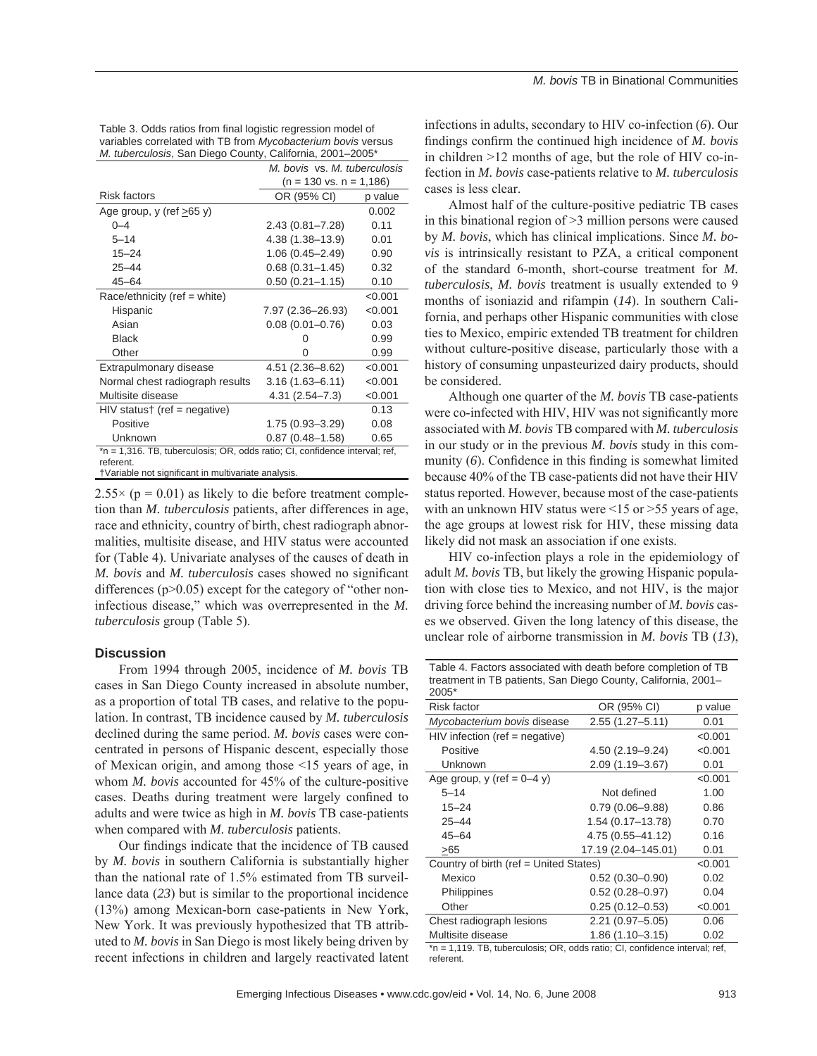| Table 3. Odds ratios from final logistic regression model of |
|--------------------------------------------------------------|
| variables correlated with TB from Mycobacterium bovis versus |
| M. tuberculosis, San Diego County, California, 2001-2005*    |

|                                                                             | M. bovis vs. M. tuberculosis       |         |  |
|-----------------------------------------------------------------------------|------------------------------------|---------|--|
|                                                                             | $(n = 130 \text{ vs. } n = 1,186)$ |         |  |
| Risk factors                                                                | OR (95% CI)                        | p value |  |
| Age group, $y$ (ref $>65 y$ )                                               |                                    | 0.002   |  |
| $0 - 4$                                                                     | $2.43(0.81 - 7.28)$                | 0.11    |  |
| $5 - 14$                                                                    | 4.38 (1.38-13.9)                   | 0.01    |  |
| $15 - 24$                                                                   | $1.06(0.45 - 2.49)$                | 0.90    |  |
| $25 - 44$                                                                   | $0.68(0.31 - 1.45)$                | 0.32    |  |
| $45 - 64$                                                                   | $0.50(0.21 - 1.15)$                | 0.10    |  |
| Race/ethnicity (ref = white)                                                |                                    | < 0.001 |  |
| Hispanic                                                                    | 7.97 (2.36-26.93)                  | < 0.001 |  |
| Asian                                                                       | $0.08(0.01 - 0.76)$                | 0.03    |  |
| <b>Black</b>                                                                | 0                                  | 0.99    |  |
| Other                                                                       | U                                  | 0.99    |  |
| Extrapulmonary disease                                                      | 4.51 (2.36–8.62)                   | < 0.001 |  |
| Normal chest radiograph results                                             | $3.16(1.63 - 6.11)$                | < 0.001 |  |
| Multisite disease                                                           | $4.31(2.54 - 7.3)$                 | < 0.001 |  |
| $HIV$ status† (ref = negative)                                              |                                    | 0.13    |  |
| Positive                                                                    | 1.75 (0.93-3.29)                   | 0.08    |  |
| Unknown                                                                     | $0.87(0.48 - 1.58)$                | 0.65    |  |
| *n = 1,316. TB, tuberculosis; OR, odds ratio; CI, confidence interval; ref, |                                    |         |  |
| referent.                                                                   |                                    |         |  |

†Variable not significant in multivariate analysis.

 $2.55\times$  (p = 0.01) as likely to die before treatment completion than *M. tuberculosis* patients, after differences in age, race and ethnicity, country of birth, chest radiograph abnormalities, multisite disease, and HIV status were accounted for (Table 4). Univariate analyses of the causes of death in *M. bovis* and *M. tuberculosis* cases showed no significant differences (p>0.05) except for the category of "other noninfectious disease," which was overrepresented in the *M. tuberculosis* group (Table 5).

# **Discussion**

From 1994 through 2005, incidence of *M. bovis* TB cases in San Diego County increased in absolute number, as a proportion of total TB cases, and relative to the population. In contrast, TB incidence caused by *M. tuberculosis* declined during the same period. *M. bovis* cases were concentrated in persons of Hispanic descent, especially those of Mexican origin, and among those <15 years of age, in whom *M. bovis* accounted for 45% of the culture-positive cases. Deaths during treatment were largely confined to adults and were twice as high in *M. bovis* TB case-patients when compared with *M. tuberculosis* patients.

Our findings indicate that the incidence of TB caused by *M. bovis* in southern California is substantially higher than the national rate of 1.5% estimated from TB surveillance data (*23*) but is similar to the proportional incidence (13%) among Mexican-born case-patients in New York, New York. It was previously hypothesized that TB attributed to *M. bovis* in San Diego is most likely being driven by recent infections in children and largely reactivated latent

infections in adults, secondary to HIV co-infection (*6*). Our findings confirm the continued high incidence of *M. bovis* in children >12 months of age, but the role of HIV co-infection in *M. bovis* case-patients relative to *M. tuberculosis* cases is less clear.

Almost half of the culture-positive pediatric TB cases in this binational region of >3 million persons were caused by *M. bovis*, which has clinical implications. Since *M. bovis* is intrinsically resistant to PZA, a critical component of the standard 6-month, short-course treatment for *M. tuberculosis*, *M. bovis* treatment is usually extended to 9 months of isoniazid and rifampin (*14*). In southern California, and perhaps other Hispanic communities with close ties to Mexico, empiric extended TB treatment for children without culture-positive disease, particularly those with a history of consuming unpasteurized dairy products, should be considered.

Although one quarter of the *M. bovis* TB case-patients were co-infected with HIV, HIV was not significantly more associated with *M. bovis* TB compared with *M. tuberculosis* in our study or in the previous *M. bovis* study in this community  $(6)$ . Confidence in this finding is somewhat limited because 40% of the TB case-patients did not have their HIV status reported. However, because most of the case-patients with an unknown HIV status were  $\leq$ 15 or  $\geq$ 55 years of age, the age groups at lowest risk for HIV, these missing data likely did not mask an association if one exists.

HIV co-infection plays a role in the epidemiology of adult *M. bovis* TB, but likely the growing Hispanic population with close ties to Mexico, and not HIV, is the major driving force behind the increasing number of *M. bovis* cases we observed. Given the long latency of this disease, the unclear role of airborne transmission in *M. bovis* TB (*13*),

Table 4. Factors associated with death before completion of TB treatment in TB patients, San Diego County, California, 2001– 2005\*

| ⊷∽                                     |                     |         |
|----------------------------------------|---------------------|---------|
| Risk factor                            | OR (95% CI)         | p value |
| Mycobacterium bovis disease            | $2.55(1.27 - 5.11)$ | 0.01    |
| HIV infection (ref = negative)         |                     | < 0.001 |
| Positive                               | 4.50 (2.19–9.24)    | < 0.001 |
| Unknown                                | 2.09 (1.19-3.67)    | 0.01    |
| Age group, y (ref = $0-4$ y)           |                     | < 0.001 |
| $5 - 14$                               | Not defined         | 1.00    |
| $15 - 24$                              | $0.79(0.06 - 9.88)$ | 0.86    |
| $25 - 44$                              | 1.54 (0.17-13.78)   | 0.70    |
| $45 - 64$                              | 4.75 (0.55-41.12)   | 0.16    |
| >65                                    | 17.19 (2.04-145.01) | 0.01    |
| Country of birth (ref = United States) | < 0.001             |         |
| Mexico                                 | $0.52(0.30 - 0.90)$ | 0.02    |
| Philippines                            | $0.52(0.28 - 0.97)$ | 0.04    |
| Other                                  | $0.25(0.12 - 0.53)$ | < 0.001 |
| Chest radiograph lesions               | $2.21(0.97 - 5.05)$ | 0.06    |
| Multisite disease                      | $1.86(1.10 - 3.15)$ | 0.02    |

\*n = 1,119. TB, tuberculosis; OR, odds ratio; CI, confidence interval; ref, referent.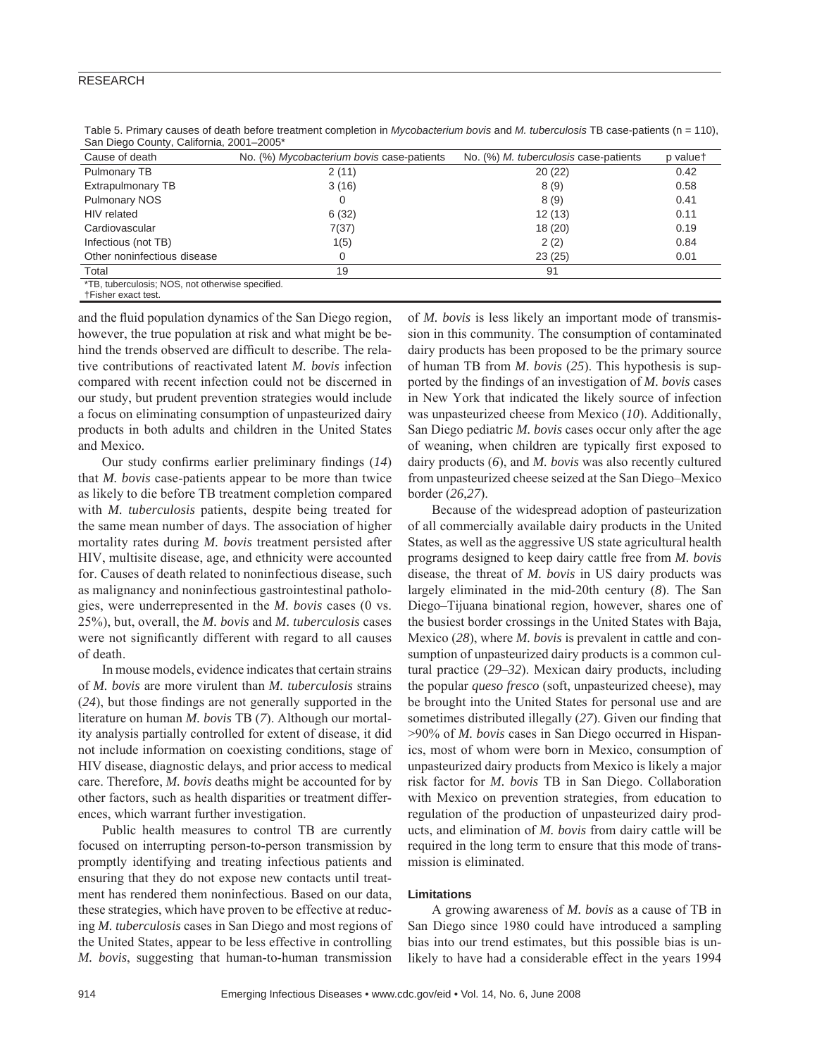| <b>Darl Dicgo Obditty, Odilloring, 2001</b> 2000 |                                           |                                       |          |
|--------------------------------------------------|-------------------------------------------|---------------------------------------|----------|
| Cause of death                                   | No. (%) Mycobacterium bovis case-patients | No. (%) M. tuberculosis case-patients | p valuet |
| Pulmonary TB                                     | 2(11)                                     | 20(22)                                | 0.42     |
| Extrapulmonary TB                                | 3(16)                                     | 8(9)                                  | 0.58     |
| <b>Pulmonary NOS</b>                             | 0                                         | 8(9)                                  | 0.41     |
| HIV related                                      | 6(32)                                     | 12(13)                                | 0.11     |
| Cardiovascular                                   | 7(37)                                     | 18(20)                                | 0.19     |
| Infectious (not TB)                              | 1(5)                                      | 2(2)                                  | 0.84     |
| Other noninfectious disease                      | 0                                         | 23(25)                                | 0.01     |
| Total                                            | 19                                        | 91                                    |          |
| *TB, tuberculosis; NOS, not otherwise specified. |                                           |                                       |          |
| <b>Trisher exact test.</b>                       |                                           |                                       |          |

Table 5. Primary causes of death before treatment completion in *Mycobacterium bovis* and *M. tuberculosis* TB case-patients (n = 110), San Diego County, California, 2001–2005\*

and the fluid population dynamics of the San Diego region, however, the true population at risk and what might be behind the trends observed are difficult to describe. The relative contributions of reactivated latent *M. bovis* infection compared with recent infection could not be discerned in our study, but prudent prevention strategies would include a focus on eliminating consumption of unpasteurized dairy products in both adults and children in the United States and Mexico.

Our study confirms earlier preliminary findings (14) that *M. bovis* case-patients appear to be more than twice as likely to die before TB treatment completion compared with *M. tuberculosis* patients, despite being treated for the same mean number of days. The association of higher mortality rates during *M. bovis* treatment persisted after HIV, multisite disease, age, and ethnicity were accounted for. Causes of death related to noninfectious disease, such as malignancy and noninfectious gastrointestinal pathologies, were underrepresented in the *M. bovis* cases (0 vs. 25%), but, overall, the *M. bovis* and *M. tuberculosis* cases were not significantly different with regard to all causes of death.

In mouse models, evidence indicates that certain strains of *M. bovis* are more virulent than *M. tuberculosis* strains  $(24)$ , but those findings are not generally supported in the literature on human *M. bovis* TB (*7*). Although our mortality analysis partially controlled for extent of disease, it did not include information on coexisting conditions, stage of HIV disease, diagnostic delays, and prior access to medical care. Therefore, *M. bovis* deaths might be accounted for by other factors, such as health disparities or treatment differences, which warrant further investigation.

Public health measures to control TB are currently focused on interrupting person-to-person transmission by promptly identifying and treating infectious patients and ensuring that they do not expose new contacts until treatment has rendered them noninfectious. Based on our data, these strategies, which have proven to be effective at reducing *M. tuberculosis* cases in San Diego and most regions of the United States, appear to be less effective in controlling *M. bovis*, suggesting that human-to-human transmission

of *M. bovis* is less likely an important mode of transmission in this community. The consumption of contaminated dairy products has been proposed to be the primary source of human TB from *M. bovis* (*25*). This hypothesis is supported by the findings of an investigation of *M. bovis* cases in New York that indicated the likely source of infection was unpasteurized cheese from Mexico (*10*). Additionally, San Diego pediatric *M. bovis* cases occur only after the age of weaning, when children are typically first exposed to dairy products (*6*), and *M. bovis* was also recently cultured from unpasteurized cheese seized at the San Diego–Mexico border (*26*,*27*).

Because of the widespread adoption of pasteurization of all commercially available dairy products in the United States, as well as the aggressive US state agricultural health programs designed to keep dairy cattle free from *M. bovis* disease, the threat of *M. bovis* in US dairy products was largely eliminated in the mid-20th century (*8*). The San Diego–Tijuana binational region, however, shares one of the busiest border crossings in the United States with Baja, Mexico (*28*), where *M. bovis* is prevalent in cattle and consumption of unpasteurized dairy products is a common cultural practice (*29*–*32*). Mexican dairy products, including the popular *queso fresco* (soft, unpasteurized cheese), may be brought into the United States for personal use and are sometimes distributed illegally (27). Given our finding that >90% of *M. bovis* cases in San Diego occurred in Hispanics, most of whom were born in Mexico, consumption of unpasteurized dairy products from Mexico is likely a major risk factor for *M. bovis* TB in San Diego. Collaboration with Mexico on prevention strategies, from education to regulation of the production of unpasteurized dairy products, and elimination of *M. bovis* from dairy cattle will be required in the long term to ensure that this mode of transmission is eliminated.

#### **Limitations**

A growing awareness of *M. bovis* as a cause of TB in San Diego since 1980 could have introduced a sampling bias into our trend estimates, but this possible bias is unlikely to have had a considerable effect in the years 1994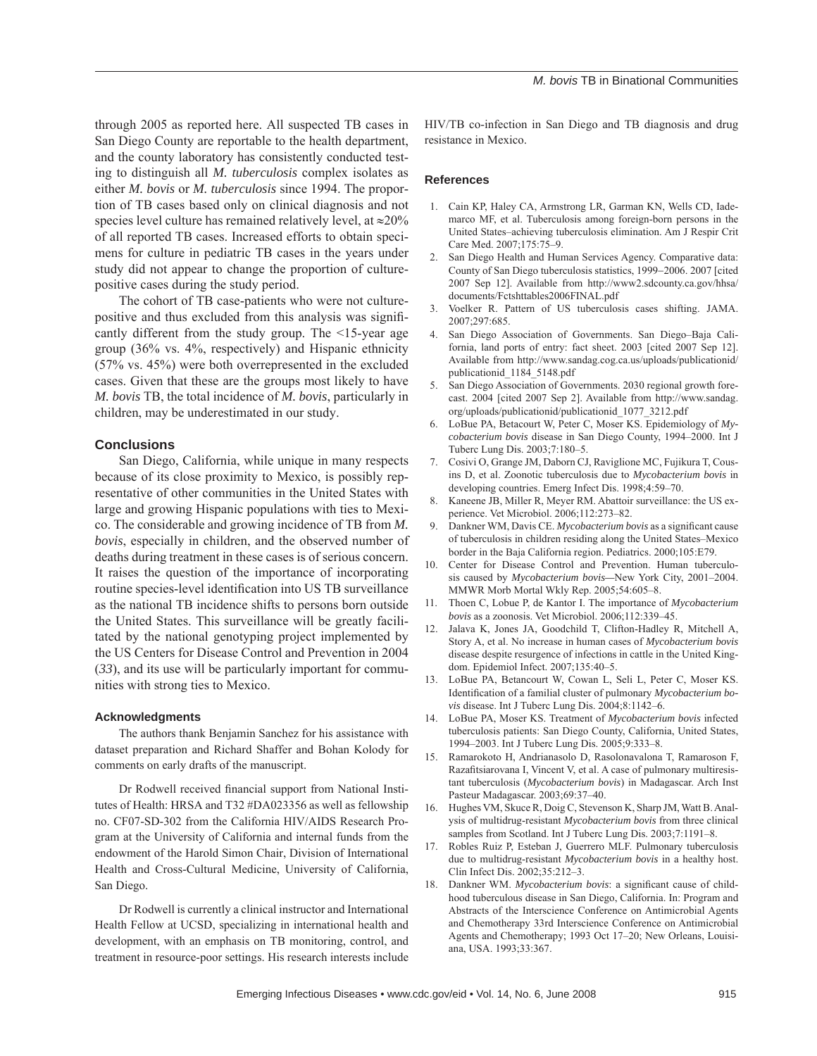through 2005 as reported here. All suspected TB cases in San Diego County are reportable to the health department, and the county laboratory has consistently conducted testing to distinguish all *M. tuberculosis* complex isolates as either *M. bovis* or *M. tuberculosis* since 1994. The proportion of TB cases based only on clinical diagnosis and not species level culture has remained relatively level, at  $\approx$ 20% of all reported TB cases. Increased efforts to obtain specimens for culture in pediatric TB cases in the years under study did not appear to change the proportion of culturepositive cases during the study period.

The cohort of TB case-patients who were not culturepositive and thus excluded from this analysis was significantly different from the study group. The <15-year age group (36% vs. 4%, respectively) and Hispanic ethnicity (57% vs. 45%) were both overrepresented in the excluded cases. Given that these are the groups most likely to have *M. bovis* TB, the total incidence of *M. bovis*, particularly in children, may be underestimated in our study.

#### **Conclusions**

San Diego, California, while unique in many respects because of its close proximity to Mexico, is possibly representative of other communities in the United States with large and growing Hispanic populations with ties to Mexico. The considerable and growing incidence of TB from *M. bovis*, especially in children, and the observed number of deaths during treatment in these cases is of serious concern. It raises the question of the importance of incorporating routine species-level identification into US TB surveillance as the national TB incidence shifts to persons born outside the United States. This surveillance will be greatly facilitated by the national genotyping project implemented by the US Centers for Disease Control and Prevention in 2004 (*33*), and its use will be particularly important for communities with strong ties to Mexico.

#### **Acknowledgments**

The authors thank Benjamin Sanchez for his assistance with dataset preparation and Richard Shaffer and Bohan Kolody for comments on early drafts of the manuscript.

Dr Rodwell received financial support from National Institutes of Health: HRSA and T32 #DA023356 as well as fellowship no. CF07-SD-302 from the California HIV/AIDS Research Program at the University of California and internal funds from the endowment of the Harold Simon Chair, Division of International Health and Cross-Cultural Medicine, University of California, San Diego.

Dr Rodwell is currently a clinical instructor and International Health Fellow at UCSD, specializing in international health and development, with an emphasis on TB monitoring, control, and treatment in resource-poor settings. His research interests include HIV/TB co-infection in San Diego and TB diagnosis and drug resistance in Mexico.

#### **References**

- 1. Cain KP, Haley CA, Armstrong LR, Garman KN, Wells CD, Iademarco MF, et al. Tuberculosis among foreign-born persons in the United States–achieving tuberculosis elimination. Am J Respir Crit Care Med. 2007;175:75–9.
- 2. San Diego Health and Human Services Agency. Comparative data: County of San Diego tuberculosis statistics, 1999−2006. 2007 [cited 2007 Sep 12]. Available from http://www2.sdcounty.ca.gov/hhsa/ documents/Fctshttables2006FINAL.pdf
- 3. Voelker R. Pattern of US tuberculosis cases shifting. JAMA. 2007;297:685.
- 4. San Diego Association of Governments. San Diego–Baja California, land ports of entry: fact sheet. 2003 [cited 2007 Sep 12]. Available from http://www.sandag.cog.ca.us/uploads/publicationid/ publicationid\_1184\_5148.pdf
- 5. San Diego Association of Governments. 2030 regional growth forecast. 2004 [cited 2007 Sep 2]. Available from http://www.sandag. org/uploads/publicationid/publicationid\_1077\_3212.pdf
- 6. LoBue PA, Betacourt W, Peter C, Moser KS. Epidemiology of *Mycobacterium bovis* disease in San Diego County, 1994–2000. Int J Tuberc Lung Dis. 2003;7:180–5.
- 7. Cosivi O, Grange JM, Daborn CJ, Raviglione MC, Fujikura T, Cousins D, et al. Zoonotic tuberculosis due to *Mycobacterium bovis* in developing countries. Emerg Infect Dis. 1998;4:59–70.
- 8. Kaneene JB, Miller R, Meyer RM. Abattoir surveillance: the US experience. Vet Microbiol. 2006;112:273–82.
- 9. Dankner WM, Davis CE. Mycobacterium bovis as a significant cause of tuberculosis in children residing along the United States–Mexico border in the Baja California region. Pediatrics. 2000;105:E79.
- 10. Center for Disease Control and Prevention. Human tuberculosis caused by *Mycobacterium bovis—*New York City, 2001–2004. MMWR Morb Mortal Wkly Rep. 2005;54:605–8.
- 11. Thoen C, Lobue P, de Kantor I. The importance of *Mycobacterium bovis* as a zoonosis. Vet Microbiol. 2006;112:339–45.
- 12. Jalava K, Jones JA, Goodchild T, Clifton-Hadley R, Mitchell A, Story A, et al. No increase in human cases of *Mycobacterium bovis* disease despite resurgence of infections in cattle in the United Kingdom. Epidemiol Infect. 2007;135:40–5.
- 13. LoBue PA, Betancourt W, Cowan L, Seli L, Peter C, Moser KS. Identification of a familial cluster of pulmonary *Mycobacterium bovis* disease. Int J Tuberc Lung Dis. 2004;8:1142–6.
- 14. LoBue PA, Moser KS. Treatment of *Mycobacterium bovis* infected tuberculosis patients: San Diego County, California, United States, 1994–2003. Int J Tuberc Lung Dis. 2005;9:333–8.
- 15. Ramarokoto H, Andrianasolo D, Rasolonavalona T, Ramaroson F, Razafitsiarovana I, Vincent V, et al. A case of pulmonary multiresistant tuberculosis (*Mycobacterium bovis*) in Madagascar. Arch Inst Pasteur Madagascar. 2003;69:37–40.
- 16. Hughes VM, Skuce R, Doig C, Stevenson K, Sharp JM, Watt B. Analysis of multidrug-resistant *Mycobacterium bovis* from three clinical samples from Scotland. Int J Tuberc Lung Dis. 2003;7:1191-8.
- 17. Robles Ruiz P, Esteban J, Guerrero MLF. Pulmonary tuberculosis due to multidrug-resistant *Mycobacterium bovis* in a healthy host. Clin Infect Dis. 2002;35:212–3.
- 18. Dankner WM. *Mycobacterium bovis*: a significant cause of childhood tuberculous disease in San Diego, California. In: Program and Abstracts of the Interscience Conference on Antimicrobial Agents and Chemotherapy 33rd Interscience Conference on Antimicrobial Agents and Chemotherapy; 1993 Oct 17–20; New Orleans, Louisiana, USA. 1993;33:367.